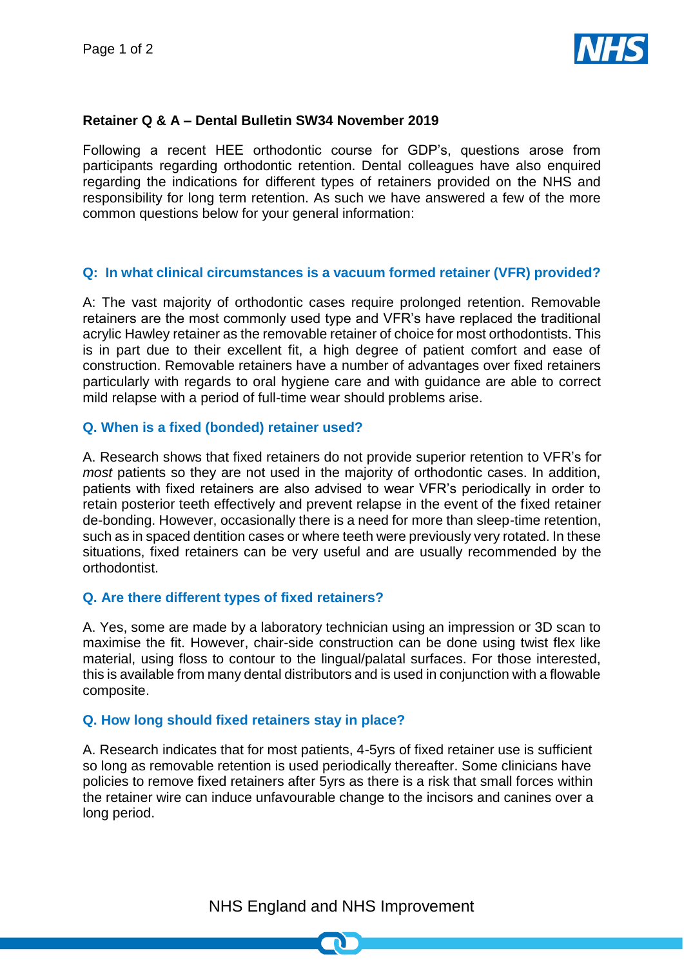

### **Retainer Q & A – Dental Bulletin SW34 November 2019**

Following a recent HEE orthodontic course for GDP's, questions arose from participants regarding orthodontic retention. Dental colleagues have also enquired regarding the indications for different types of retainers provided on the NHS and responsibility for long term retention. As such we have answered a few of the more common questions below for your general information:

### **Q: In what clinical circumstances is a vacuum formed retainer (VFR) provided?**

A: The vast majority of orthodontic cases require prolonged retention. Removable retainers are the most commonly used type and VFR's have replaced the traditional acrylic Hawley retainer as the removable retainer of choice for most orthodontists. This is in part due to their excellent fit, a high degree of patient comfort and ease of construction. Removable retainers have a number of advantages over fixed retainers particularly with regards to oral hygiene care and with guidance are able to correct mild relapse with a period of full-time wear should problems arise.

#### **Q. When is a fixed (bonded) retainer used?**

A. Research shows that fixed retainers do not provide superior retention to VFR's for *most* patients so they are not used in the majority of orthodontic cases. In addition, patients with fixed retainers are also advised to wear VFR's periodically in order to retain posterior teeth effectively and prevent relapse in the event of the fixed retainer de-bonding. However, occasionally there is a need for more than sleep-time retention, such as in spaced dentition cases or where teeth were previously very rotated. In these situations, fixed retainers can be very useful and are usually recommended by the orthodontist.

#### **Q. Are there different types of fixed retainers?**

A. Yes, some are made by a laboratory technician using an impression or 3D scan to maximise the fit. However, chair-side construction can be done using twist flex like material, using floss to contour to the lingual/palatal surfaces. For those interested, this is available from many dental distributors and is used in conjunction with a flowable composite.

### **Q. How long should fixed retainers stay in place?**

A. Research indicates that for most patients, 4-5yrs of fixed retainer use is sufficient so long as removable retention is used periodically thereafter. Some clinicians have policies to remove fixed retainers after 5yrs as there is a risk that small forces within the retainer wire can induce unfavourable change to the incisors and canines over a long period.